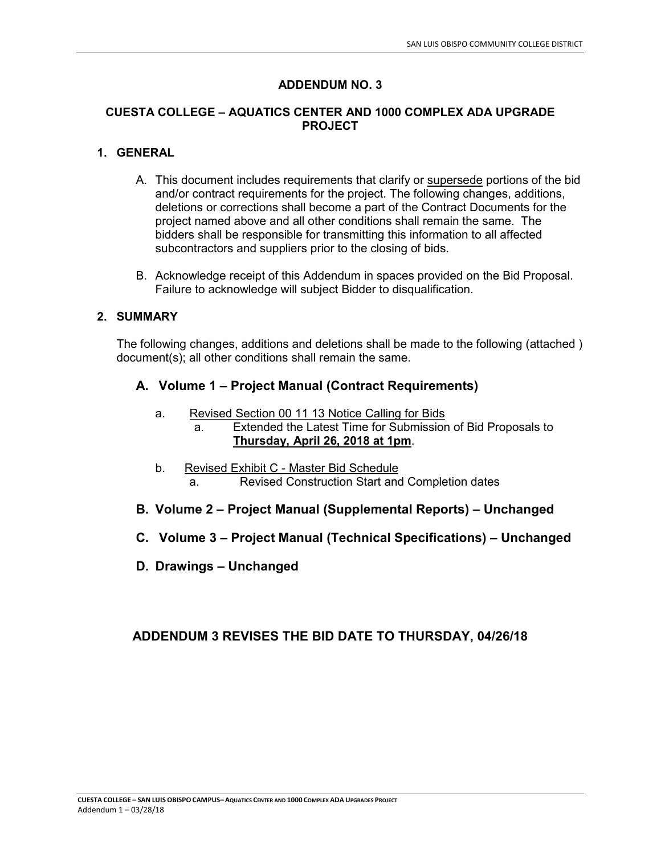### **ADDENDUM NO. 3**

#### **CUESTA COLLEGE – AQUATICS CENTER AND 1000 COMPLEX ADA UPGRADE PROJECT**

#### **1. GENERAL**

- A. This document includes requirements that clarify or supersede portions of the bid and/or contract requirements for the project. The following changes, additions, deletions or corrections shall become a part of the Contract Documents for the project named above and all other conditions shall remain the same. The bidders shall be responsible for transmitting this information to all affected subcontractors and suppliers prior to the closing of bids.
- B. Acknowledge receipt of this Addendum in spaces provided on the Bid Proposal. Failure to acknowledge will subject Bidder to disqualification.

#### **2. SUMMARY**

The following changes, additions and deletions shall be made to the following (attached ) document(s); all other conditions shall remain the same.

### **A. Volume 1 – Project Manual (Contract Requirements)**

- a. Revised Section 00 11 13 Notice Calling for Bids
	- a. Extended the Latest Time for Submission of Bid Proposals to **Thursday, April 26, 2018 at 1pm**.
- b. Revised Exhibit C Master Bid Schedule a. Revised Construction Start and Completion dates
- **B. Volume 2 Project Manual (Supplemental Reports) Unchanged**
- **C. Volume 3 Project Manual (Technical Specifications) Unchanged**
- **D. Drawings Unchanged**

# **ADDENDUM 3 REVISES THE BID DATE TO THURSDAY, 04/26/18**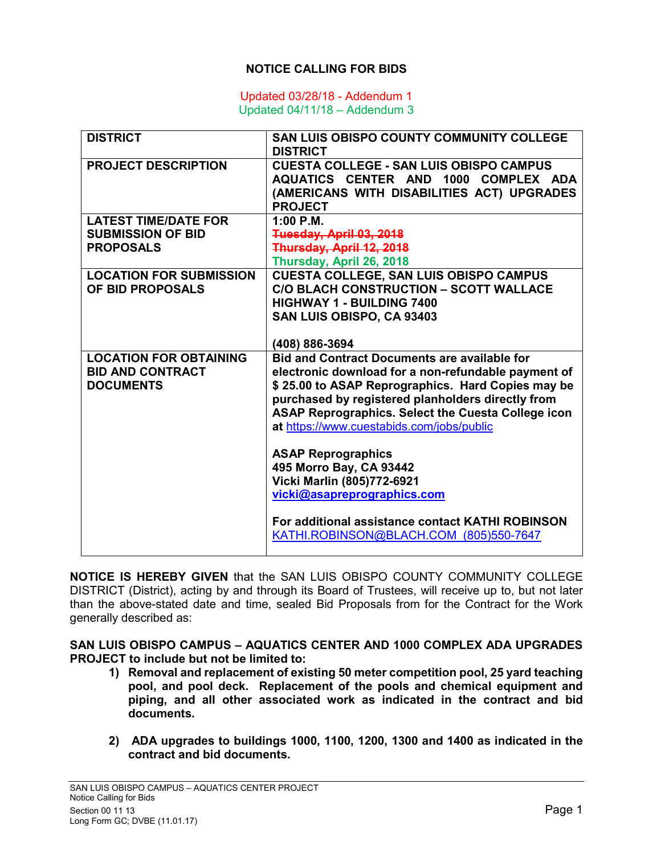## **NOTICE CALLING FOR BIDS**

#### Updated 03/28/18 - Addendum 1 Updated 04/11/18 – Addendum 3

| <b>DISTRICT</b>                | <b>SAN LUIS OBISPO COUNTY COMMUNITY COLLEGE</b><br><b>DISTRICT</b>                                                                                     |
|--------------------------------|--------------------------------------------------------------------------------------------------------------------------------------------------------|
| <b>PROJECT DESCRIPTION</b>     | <b>CUESTA COLLEGE - SAN LUIS OBISPO CAMPUS</b><br>AQUATICS CENTER AND 1000 COMPLEX ADA<br>(AMERICANS WITH DISABILITIES ACT) UPGRADES<br><b>PROJECT</b> |
| <b>LATEST TIME/DATE FOR</b>    | $1:00$ P.M.                                                                                                                                            |
| <b>SUBMISSION OF BID</b>       | Tuesday, April 03, 2018                                                                                                                                |
| <b>PROPOSALS</b>               | Thursday, April 12, 2018                                                                                                                               |
|                                | Thursday, April 26, 2018                                                                                                                               |
| <b>LOCATION FOR SUBMISSION</b> | <b>CUESTA COLLEGE, SAN LUIS OBISPO CAMPUS</b>                                                                                                          |
| OF BID PROPOSALS               | <b>C/O BLACH CONSTRUCTION - SCOTT WALLACE</b>                                                                                                          |
|                                | <b>HIGHWAY 1 - BUILDING 7400</b>                                                                                                                       |
|                                | SAN LUIS OBISPO, CA 93403                                                                                                                              |
|                                | (408) 886-3694                                                                                                                                         |
| <b>LOCATION FOR OBTAINING</b>  | <b>Bid and Contract Documents are available for</b>                                                                                                    |
| <b>BID AND CONTRACT</b>        | electronic download for a non-refundable payment of                                                                                                    |
| <b>DOCUMENTS</b>               | \$25.00 to ASAP Reprographics. Hard Copies may be                                                                                                      |
|                                | purchased by registered planholders directly from                                                                                                      |
|                                | ASAP Reprographics. Select the Cuesta College icon                                                                                                     |
|                                | at https://www.cuestabids.com/jobs/public                                                                                                              |
|                                | <b>ASAP Reprographics</b>                                                                                                                              |
|                                | 495 Morro Bay, CA 93442                                                                                                                                |
|                                | Vicki Marlin (805)772-6921                                                                                                                             |
|                                | vicki@asapreprographics.com                                                                                                                            |
|                                |                                                                                                                                                        |
|                                | For additional assistance contact KATHI ROBINSON                                                                                                       |
|                                | KATHI.ROBINSON@BLACH.COM (805)550-7647                                                                                                                 |
|                                |                                                                                                                                                        |

**NOTICE IS HEREBY GIVEN** that the SAN LUIS OBISPO COUNTY COMMUNITY COLLEGE DISTRICT (District), acting by and through its Board of Trustees, will receive up to, but not later than the above-stated date and time, sealed Bid Proposals from for the Contract for the Work generally described as:

**SAN LUIS OBISPO CAMPUS – AQUATICS CENTER AND 1000 COMPLEX ADA UPGRADES PROJECT to include but not be limited to:** 

- **1) Removal and replacement of existing 50 meter competition pool, 25 yard teaching pool, and pool deck. Replacement of the pools and chemical equipment and piping, and all other associated work as indicated in the contract and bid documents.**
- **2) ADA upgrades to buildings 1000, 1100, 1200, 1300 and 1400 as indicated in the contract and bid documents.**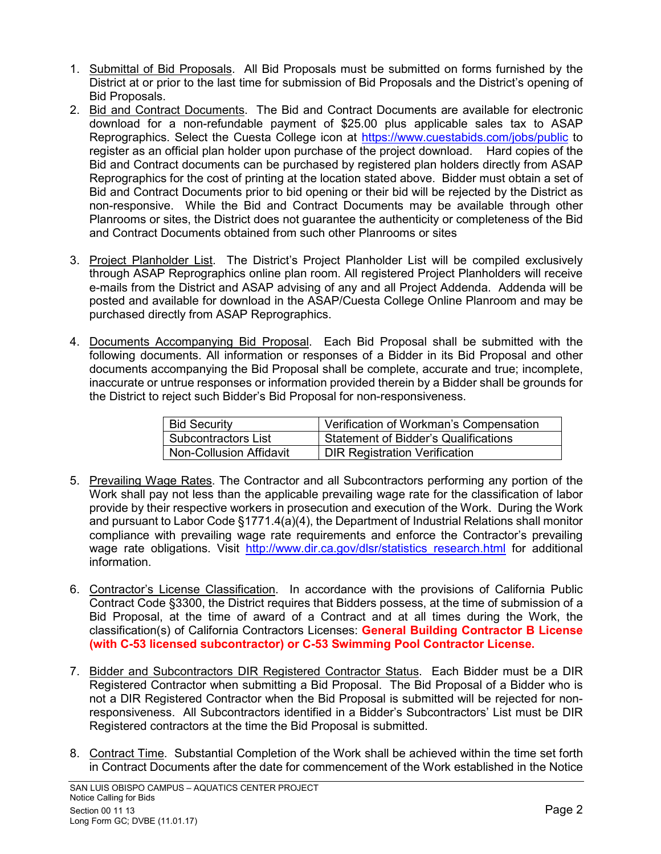- 1. Submittal of Bid Proposals. All Bid Proposals must be submitted on forms furnished by the District at or prior to the last time for submission of Bid Proposals and the District's opening of Bid Proposals.
- 2. Bid and Contract Documents. The Bid and Contract Documents are available for electronic download for a non-refundable payment of \$25.00 plus applicable sales tax to ASAP Reprographics. Select the Cuesta College icon at https://www.cuestabids.com/jobs/public to register as an official plan holder upon purchase of the project download. Hard copies of the Bid and Contract documents can be purchased by registered plan holders directly from ASAP Reprographics for the cost of printing at the location stated above. Bidder must obtain a set of Bid and Contract Documents prior to bid opening or their bid will be rejected by the District as non-responsive. While the Bid and Contract Documents may be available through other Planrooms or sites, the District does not guarantee the authenticity or completeness of the Bid and Contract Documents obtained from such other Planrooms or sites
- 3. Project Planholder List. The District's Project Planholder List will be compiled exclusively through ASAP Reprographics online plan room. All registered Project Planholders will receive e-mails from the District and ASAP advising of any and all Project Addenda. Addenda will be posted and available for download in the ASAP/Cuesta College Online Planroom and may be purchased directly from ASAP Reprographics.
- 4. Documents Accompanying Bid Proposal. Each Bid Proposal shall be submitted with the following documents. All information or responses of a Bidder in its Bid Proposal and other documents accompanying the Bid Proposal shall be complete, accurate and true; incomplete, inaccurate or untrue responses or information provided therein by a Bidder shall be grounds for the District to reject such Bidder's Bid Proposal for non-responsiveness.

| <b>Bid Security</b>            | Verification of Workman's Compensation      |
|--------------------------------|---------------------------------------------|
| <b>Subcontractors List</b>     | <b>Statement of Bidder's Qualifications</b> |
| <b>Non-Collusion Affidavit</b> | <b>DIR Registration Verification</b>        |

- 5. Prevailing Wage Rates. The Contractor and all Subcontractors performing any portion of the Work shall pay not less than the applicable prevailing wage rate for the classification of labor provide by their respective workers in prosecution and execution of the Work. During the Work and pursuant to Labor Code §1771.4(a)(4), the Department of Industrial Relations shall monitor compliance with prevailing wage rate requirements and enforce the Contractor's prevailing wage rate obligations. Visit http://www.dir.ca.gov/dlsr/statistics research.html for additional information.
- 6. Contractor's License Classification. In accordance with the provisions of California Public Contract Code §3300, the District requires that Bidders possess, at the time of submission of a Bid Proposal, at the time of award of a Contract and at all times during the Work, the classification(s) of California Contractors Licenses: **General Building Contractor B License (with C-53 licensed subcontractor) or C-53 Swimming Pool Contractor License.**
- 7. Bidder and Subcontractors DIR Registered Contractor Status. Each Bidder must be a DIR Registered Contractor when submitting a Bid Proposal. The Bid Proposal of a Bidder who is not a DIR Registered Contractor when the Bid Proposal is submitted will be rejected for nonresponsiveness. All Subcontractors identified in a Bidder's Subcontractors' List must be DIR Registered contractors at the time the Bid Proposal is submitted.
- 8. Contract Time. Substantial Completion of the Work shall be achieved within the time set forth in Contract Documents after the date for commencement of the Work established in the Notice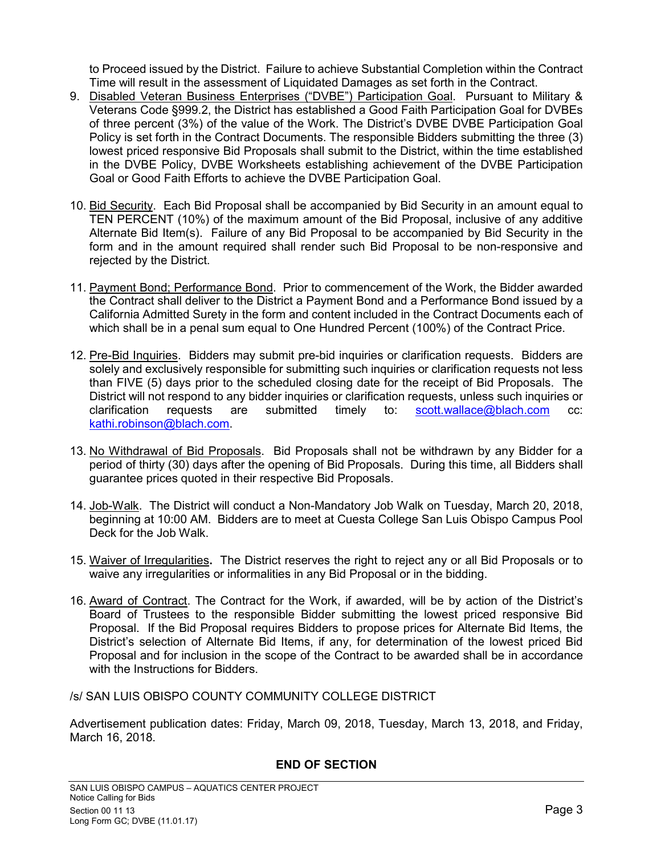to Proceed issued by the District. Failure to achieve Substantial Completion within the Contract Time will result in the assessment of Liquidated Damages as set forth in the Contract.

- 9. Disabled Veteran Business Enterprises ("DVBE") Participation Goal. Pursuant to Military & Veterans Code §999.2, the District has established a Good Faith Participation Goal for DVBEs of three percent (3%) of the value of the Work. The District's DVBE DVBE Participation Goal Policy is set forth in the Contract Documents. The responsible Bidders submitting the three (3) lowest priced responsive Bid Proposals shall submit to the District, within the time established in the DVBE Policy, DVBE Worksheets establishing achievement of the DVBE Participation Goal or Good Faith Efforts to achieve the DVBE Participation Goal.
- 10. Bid Security. Each Bid Proposal shall be accompanied by Bid Security in an amount equal to TEN PERCENT (10%) of the maximum amount of the Bid Proposal, inclusive of any additive Alternate Bid Item(s). Failure of any Bid Proposal to be accompanied by Bid Security in the form and in the amount required shall render such Bid Proposal to be non-responsive and rejected by the District.
- 11. Payment Bond; Performance Bond. Prior to commencement of the Work, the Bidder awarded the Contract shall deliver to the District a Payment Bond and a Performance Bond issued by a California Admitted Surety in the form and content included in the Contract Documents each of which shall be in a penal sum equal to One Hundred Percent (100%) of the Contract Price.
- 12. Pre-Bid Inquiries. Bidders may submit pre-bid inquiries or clarification requests. Bidders are solely and exclusively responsible for submitting such inquiries or clarification requests not less than FIVE (5) days prior to the scheduled closing date for the receipt of Bid Proposals. The District will not respond to any bidder inquiries or clarification requests, unless such inquiries or clarification requests are submitted timely to: scott.wallace@blach.com cc: kathi.robinson@blach.com.
- 13. No Withdrawal of Bid Proposals. Bid Proposals shall not be withdrawn by any Bidder for a period of thirty (30) days after the opening of Bid Proposals. During this time, all Bidders shall guarantee prices quoted in their respective Bid Proposals.
- 14. Job-Walk. The District will conduct a Non-Mandatory Job Walk on Tuesday, March 20, 2018, beginning at 10:00 AM. Bidders are to meet at Cuesta College San Luis Obispo Campus Pool Deck for the Job Walk.
- 15. Waiver of Irregularities**.** The District reserves the right to reject any or all Bid Proposals or to waive any irregularities or informalities in any Bid Proposal or in the bidding.
- 16. Award of Contract. The Contract for the Work, if awarded, will be by action of the District's Board of Trustees to the responsible Bidder submitting the lowest priced responsive Bid Proposal. If the Bid Proposal requires Bidders to propose prices for Alternate Bid Items, the District's selection of Alternate Bid Items, if any, for determination of the lowest priced Bid Proposal and for inclusion in the scope of the Contract to be awarded shall be in accordance with the Instructions for Bidders.

/s/ SAN LUIS OBISPO COUNTY COMMUNITY COLLEGE DISTRICT

Advertisement publication dates: Friday, March 09, 2018, Tuesday, March 13, 2018, and Friday, March 16, 2018.